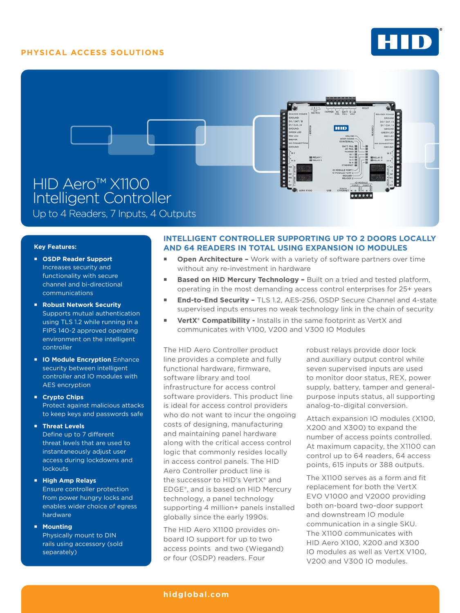# **PHYSICAL ACCESS SOLUTIONS**





Up to 4 Readers, 7 Inputs, 4 Outputs

## **Key Features:**

- **OSDP Reader Support**  Increases security and functionality with secure channel and bi-directional communications
- **Robust Network Security**  Supports mutual authentication using TLS 1.2 while running in a FIPS 140-2 approved operating environment on the intelligent controller
- **IO Module Encryption Enhance** security between intelligent controller and IO modules with AES encryption
- **Crypto Chips**  Protect against malicious attacks to keep keys and passwords safe

## **Threat Levels**

Define up to 7 different threat levels that are used to instantaneously adjust user access during lockdowns and lockouts

## **High Amp Relays**

Ensure controller protection from power hungry locks and enables wider choice of egress hardware

### **Mounting**

Physically mount to DIN rails using accessory (sold separately)

# **INTELLIGENT CONTROLLER SUPPORTING UP TO 2 DOORS LOCALLY AND 64 READERS IN TOTAL USING EXPANSION IO MODULES**

- **Den Architecture -** Work with a variety of software partners over time without any re-investment in hardware
- **Based on HID Mercury Technology Built on a tried and tested platform,** operating in the most demanding access control enterprises for 25+ years
- **End-to-End Security TLS 1.2, AES-256, OSDP Secure Channel and 4-state** supervised inputs ensures no weak technology link in the chain of security
- **VertX<sup>®</sup> Compatibility -** Installs in the same footprint as VertX and communicates with V100, V200 and V300 IO Modules

The HID Aero Controller product line provides a complete and fully functional hardware, firmware, software library and tool infrastructure for access control software providers. This product line is ideal for access control providers who do not want to incur the ongoing costs of designing, manufacturing and maintaining panel hardware along with the critical access control logic that commonly resides locally in access control panels. The HID Aero Controller product line is the successor to HID's VertX® and EDGE®, and is based on HID Mercury technology, a panel technology supporting 4 million+ panels installed globally since the early 1990s.

The HID Aero X1100 provides onboard IO support for up to two access points and two (Wiegand) or four (OSDP) readers. Four

robust relays provide door lock and auxiliary output control while seven supervised inputs are used to monitor door status, REX, power supply, battery, tamper and generalpurpose inputs status, all supporting analog-to-digital conversion.

Attach expansion IO modules (X100, X200 and X300) to expand the number of access points controlled. At maximum capacity, the X1100 can control up to 64 readers, 64 access points, 615 inputs or 388 outputs.

The X1100 serves as a form and fit replacement for both the VertX EVO V1000 and V2000 providing both on-board two-door support and downstream IO module communication in a single SKU. The X1100 communicates with HID Aero X100, X200 and X300 IO modules as well as VertX V100, V200 and V300 IO modules.